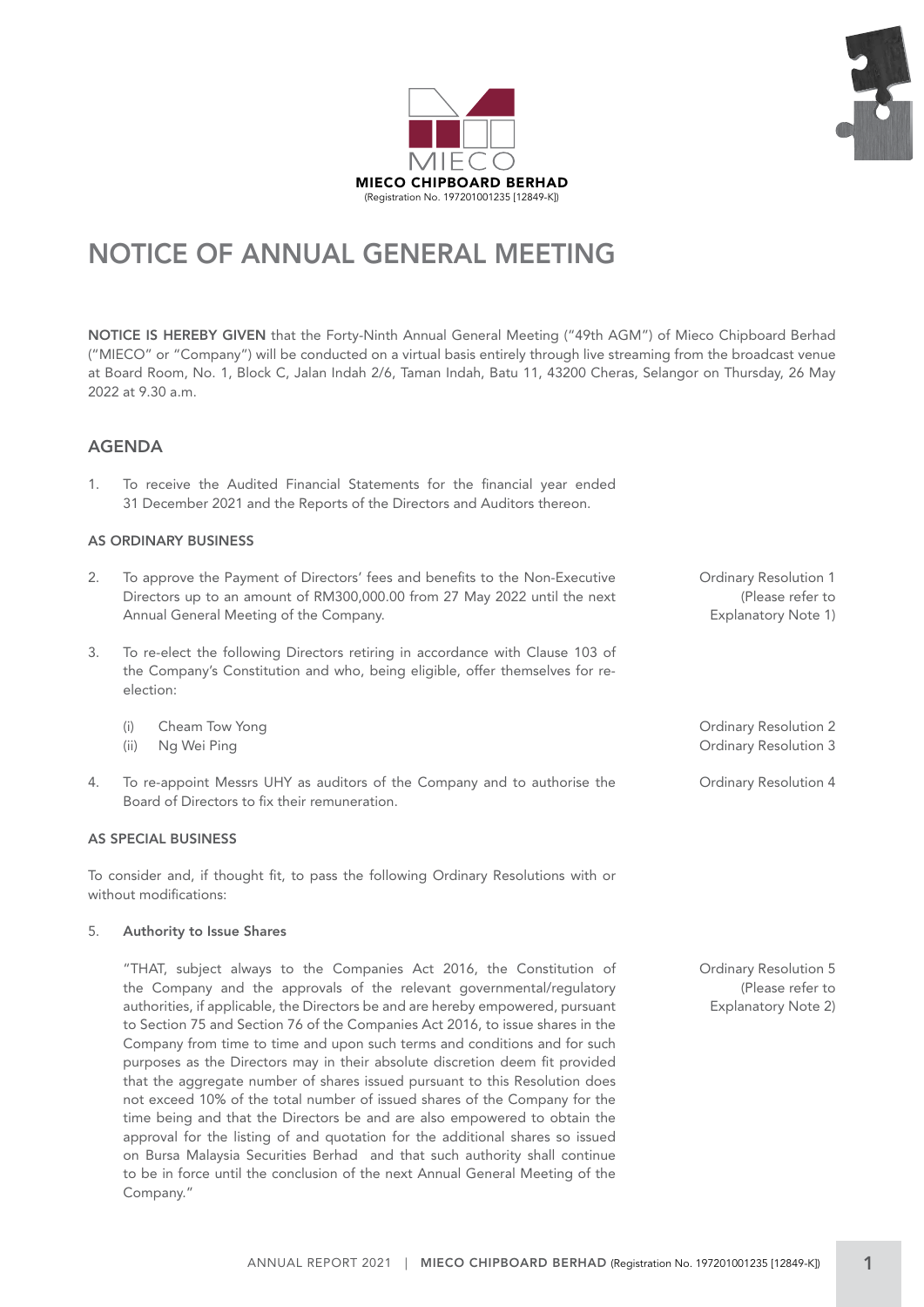



# NOTICE OF ANNUAL GENERAL MEETING

NOTICE IS HEREBY GIVEN that the Forty-Ninth Annual General Meeting ("49th AGM") of Mieco Chipboard Berhad ("MIECO" or "Company") will be conducted on a virtual basis entirely through live streaming from the broadcast venue at Board Room, No. 1, Block C, Jalan Indah 2/6, Taman Indah, Batu 11, 43200 Cheras, Selangor on Thursday, 26 May 2022 at 9.30 a.m.

### AGENDA

1. To receive the Audited Financial Statements for the financial year ended 31 December 2021 and the Reports of the Directors and Auditors thereon.

#### AS ORDINARY BUSINESS

- 2. To approve the Payment of Directors' fees and benefits to the Non-Executive Directors up to an amount of RM300,000.00 from 27 May 2022 until the next Annual General Meeting of the Company.
- 3. To re-elect the following Directors retiring in accordance with Clause 103 of the Company's Constitution and who, being eligible, offer themselves for reelection:
	- (i) Cheam Tow Yong
	- (ii) Ng Wei Ping
- 4. To re-appoint Messrs UHY as auditors of the Company and to authorise the Board of Directors to fix their remuneration.

#### AS SPECIAL BUSINESS

To consider and, if thought fit, to pass the following Ordinary Resolutions with or without modifications:

#### 5. Authority to Issue Shares

"THAT, subject always to the Companies Act 2016, the Constitution of the Company and the approvals of the relevant governmental/regulatory authorities, if applicable, the Directors be and are hereby empowered, pursuant to Section 75 and Section 76 of the Companies Act 2016, to issue shares in the Company from time to time and upon such terms and conditions and for such purposes as the Directors may in their absolute discretion deem fit provided that the aggregate number of shares issued pursuant to this Resolution does not exceed 10% of the total number of issued shares of the Company for the time being and that the Directors be and are also empowered to obtain the approval for the listing of and quotation for the additional shares so issued on Bursa Malaysia Securities Berhad and that such authority shall continue to be in force until the conclusion of the next Annual General Meeting of the Company."

Ordinary Resolution 1 (Please refer to Explanatory Note 1)

Ordinary Resolution 2 Ordinary Resolution 3

Ordinary Resolution 4

Ordinary Resolution 5 (Please refer to Explanatory Note 2)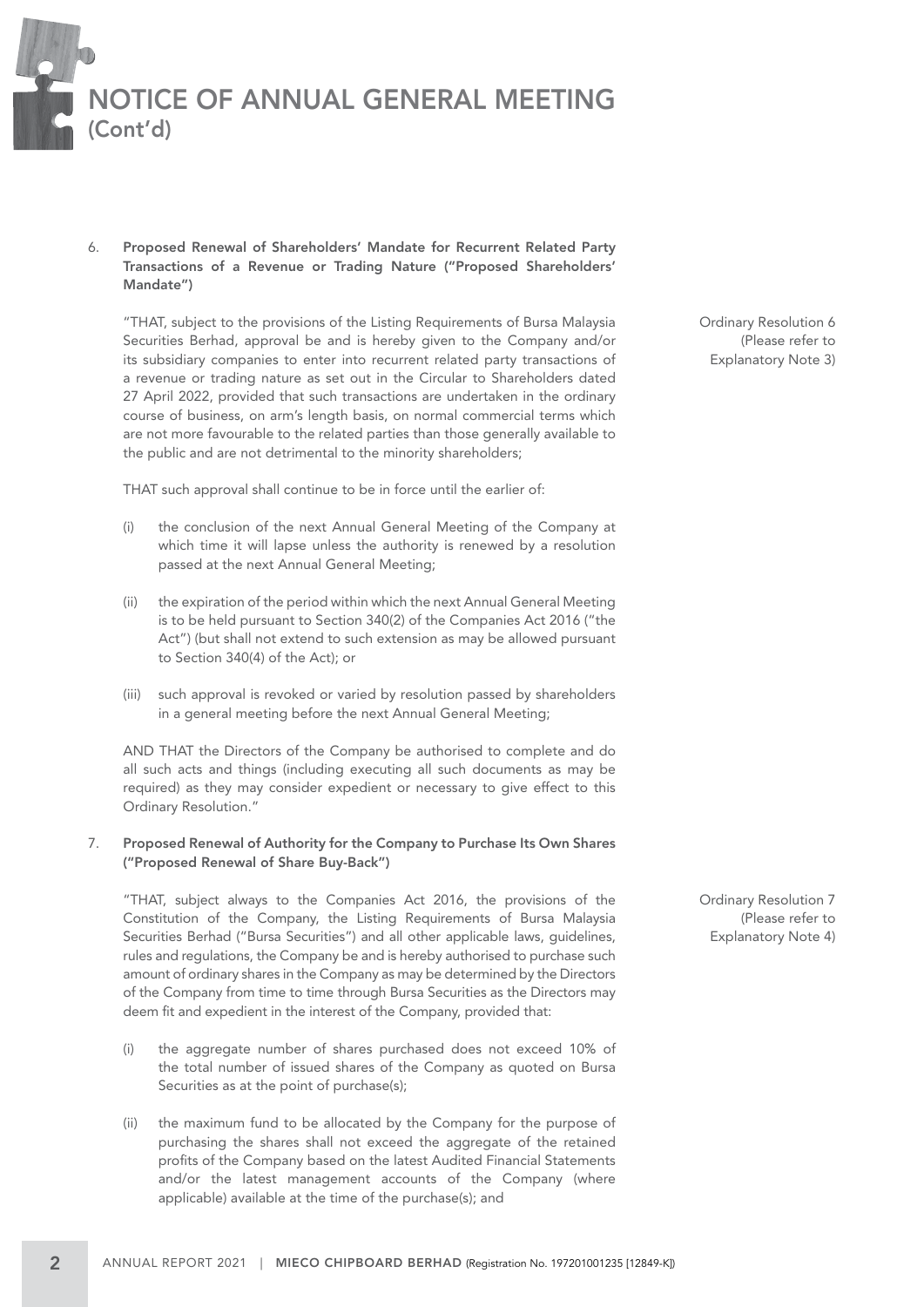

#### 6. Proposed Renewal of Shareholders' Mandate for Recurrent Related Party Transactions of a Revenue or Trading Nature ("Proposed Shareholders' Mandate")

"THAT, subject to the provisions of the Listing Requirements of Bursa Malaysia Securities Berhad, approval be and is hereby given to the Company and/or its subsidiary companies to enter into recurrent related party transactions of a revenue or trading nature as set out in the Circular to Shareholders dated 27 April 2022, provided that such transactions are undertaken in the ordinary course of business, on arm's length basis, on normal commercial terms which are not more favourable to the related parties than those generally available to the public and are not detrimental to the minority shareholders;

THAT such approval shall continue to be in force until the earlier of:

- (i) the conclusion of the next Annual General Meeting of the Company at which time it will lapse unless the authority is renewed by a resolution passed at the next Annual General Meeting;
- (ii) the expiration of the period within which the next Annual General Meeting is to be held pursuant to Section 340(2) of the Companies Act 2016 ("the Act") (but shall not extend to such extension as may be allowed pursuant to Section 340(4) of the Act); or
- (iii) such approval is revoked or varied by resolution passed by shareholders in a general meeting before the next Annual General Meeting;

AND THAT the Directors of the Company be authorised to complete and do all such acts and things (including executing all such documents as may be required) as they may consider expedient or necessary to give effect to this Ordinary Resolution."

#### 7. Proposed Renewal of Authority for the Company to Purchase Its Own Shares ("Proposed Renewal of Share Buy-Back")

"THAT, subject always to the Companies Act 2016, the provisions of the Constitution of the Company, the Listing Requirements of Bursa Malaysia Securities Berhad ("Bursa Securities") and all other applicable laws, guidelines, rules and regulations, the Company be and is hereby authorised to purchase such amount of ordinary shares in the Company as may be determined by the Directors of the Company from time to time through Bursa Securities as the Directors may deem fit and expedient in the interest of the Company, provided that:

- (i) the aggregate number of shares purchased does not exceed 10% of the total number of issued shares of the Company as quoted on Bursa Securities as at the point of purchase(s);
- (ii) the maximum fund to be allocated by the Company for the purpose of purchasing the shares shall not exceed the aggregate of the retained profits of the Company based on the latest Audited Financial Statements and/or the latest management accounts of the Company (where applicable) available at the time of the purchase(s); and

Ordinary Resolution 6 (Please refer to Explanatory Note 3)

Ordinary Resolution 7 (Please refer to Explanatory Note 4)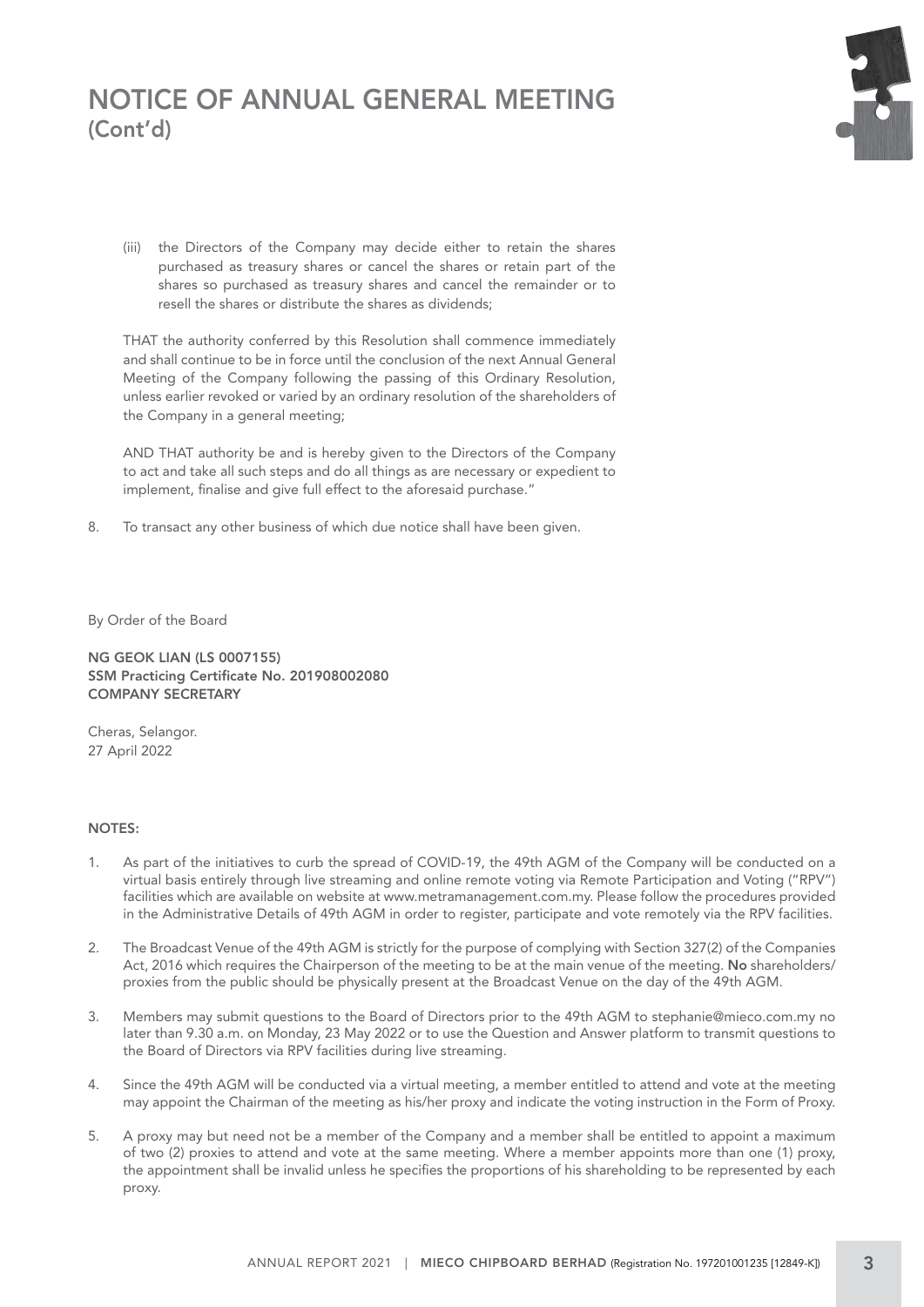## NOTICE OF ANNUAL GENERAL MEETING (Cont'd)

(iii) the Directors of the Company may decide either to retain the shares purchased as treasury shares or cancel the shares or retain part of the shares so purchased as treasury shares and cancel the remainder or to resell the shares or distribute the shares as dividends;

THAT the authority conferred by this Resolution shall commence immediately and shall continue to be in force until the conclusion of the next Annual General Meeting of the Company following the passing of this Ordinary Resolution, unless earlier revoked or varied by an ordinary resolution of the shareholders of the Company in a general meeting;

AND THAT authority be and is hereby given to the Directors of the Company to act and take all such steps and do all things as are necessary or expedient to implement, finalise and give full effect to the aforesaid purchase."

8. To transact any other business of which due notice shall have been given.

By Order of the Board

NG GEOK LIAN (LS 0007155) SSM Practicing Certificate No. 201908002080 COMPANY SECRETARY

Cheras, Selangor. 27 April 2022

#### NOTES:

- 1. As part of the initiatives to curb the spread of COVID-19, the 49th AGM of the Company will be conducted on a virtual basis entirely through live streaming and online remote voting via Remote Participation and Voting ("RPV") facilities which are available on website at www.metramanagement.com.my. Please follow the procedures provided in the Administrative Details of 49th AGM in order to register, participate and vote remotely via the RPV facilities.
- 2. The Broadcast Venue of the 49th AGM is strictly for the purpose of complying with Section 327(2) of the Companies Act, 2016 which requires the Chairperson of the meeting to be at the main venue of the meeting. No shareholders/ proxies from the public should be physically present at the Broadcast Venue on the day of the 49th AGM.
- 3. Members may submit questions to the Board of Directors prior to the 49th AGM to stephanie@mieco.com.my no later than 9.30 a.m. on Monday, 23 May 2022 or to use the Question and Answer platform to transmit questions to the Board of Directors via RPV facilities during live streaming.
- 4. Since the 49th AGM will be conducted via a virtual meeting, a member entitled to attend and vote at the meeting may appoint the Chairman of the meeting as his/her proxy and indicate the voting instruction in the Form of Proxy.
- 5. A proxy may but need not be a member of the Company and a member shall be entitled to appoint a maximum of two (2) proxies to attend and vote at the same meeting. Where a member appoints more than one (1) proxy, the appointment shall be invalid unless he specifies the proportions of his shareholding to be represented by each proxy.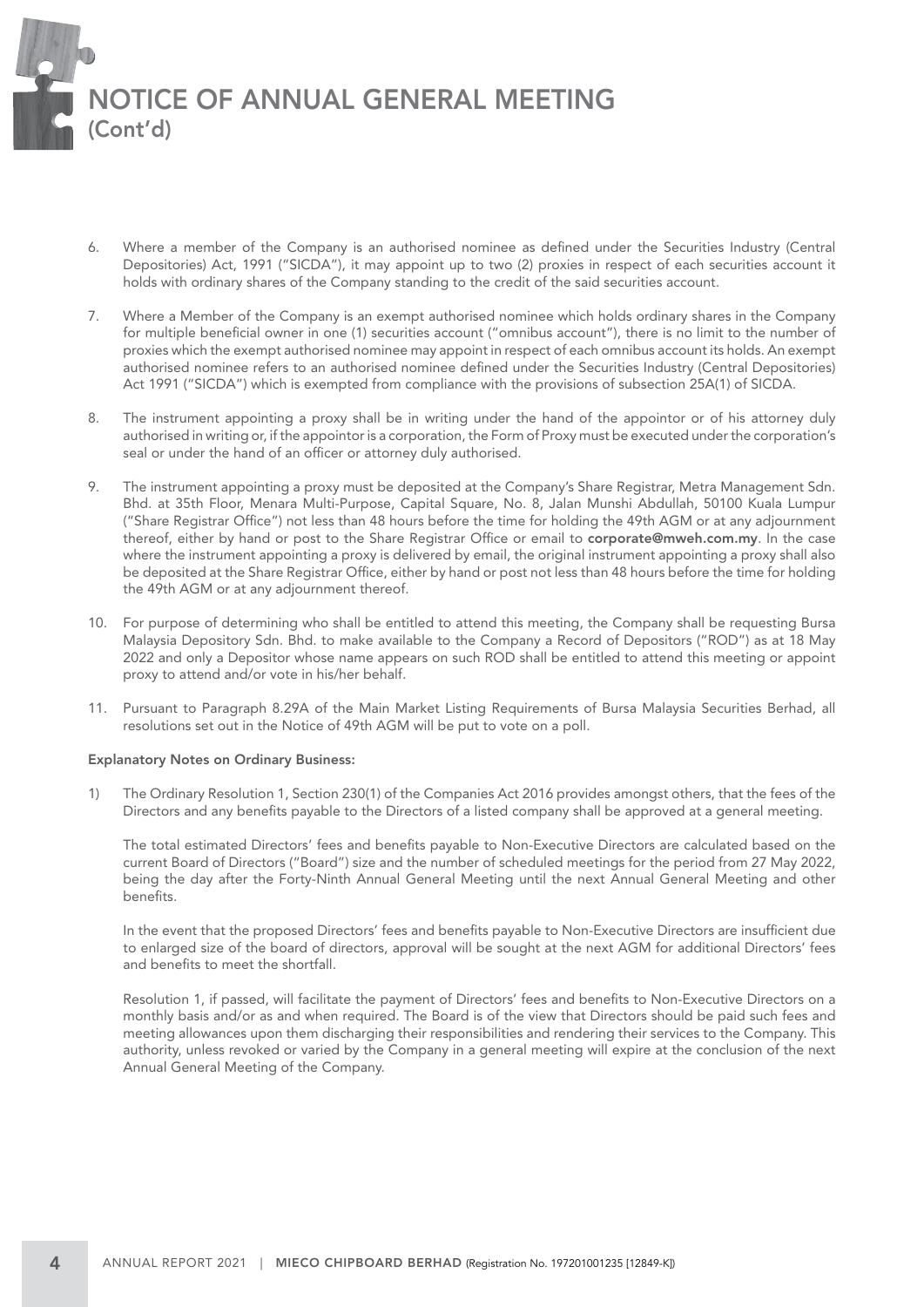

- 6. Where a member of the Company is an authorised nominee as defined under the Securities Industry (Central Depositories) Act, 1991 ("SICDA"), it may appoint up to two (2) proxies in respect of each securities account it holds with ordinary shares of the Company standing to the credit of the said securities account.
- 7. Where a Member of the Company is an exempt authorised nominee which holds ordinary shares in the Company for multiple beneficial owner in one (1) securities account ("omnibus account"), there is no limit to the number of proxies which the exempt authorised nominee may appoint in respect of each omnibus account its holds. An exempt authorised nominee refers to an authorised nominee defined under the Securities Industry (Central Depositories) Act 1991 ("SICDA") which is exempted from compliance with the provisions of subsection 25A(1) of SICDA.
- 8. The instrument appointing a proxy shall be in writing under the hand of the appointor or of his attorney duly authorised in writing or, if the appointor is a corporation, the Form of Proxy must be executed under the corporation's seal or under the hand of an officer or attorney duly authorised.
- 9. The instrument appointing a proxy must be deposited at the Company's Share Registrar, Metra Management Sdn. Bhd. at 35th Floor, Menara Multi-Purpose, Capital Square, No. 8, Jalan Munshi Abdullah, 50100 Kuala Lumpur ("Share Registrar Office") not less than 48 hours before the time for holding the 49th AGM or at any adjournment thereof, either by hand or post to the Share Registrar Office or email to corporate@mweh.com.my. In the case where the instrument appointing a proxy is delivered by email, the original instrument appointing a proxy shall also be deposited at the Share Registrar Office, either by hand or post not less than 48 hours before the time for holding the 49th AGM or at any adjournment thereof.
- 10. For purpose of determining who shall be entitled to attend this meeting, the Company shall be requesting Bursa Malaysia Depository Sdn. Bhd. to make available to the Company a Record of Depositors ("ROD") as at 18 May 2022 and only a Depositor whose name appears on such ROD shall be entitled to attend this meeting or appoint proxy to attend and/or vote in his/her behalf.
- 11. Pursuant to Paragraph 8.29A of the Main Market Listing Requirements of Bursa Malaysia Securities Berhad, all resolutions set out in the Notice of 49th AGM will be put to vote on a poll.

#### Explanatory Notes on Ordinary Business:

1) The Ordinary Resolution 1, Section 230(1) of the Companies Act 2016 provides amongst others, that the fees of the Directors and any benefits payable to the Directors of a listed company shall be approved at a general meeting.

The total estimated Directors' fees and benefits payable to Non-Executive Directors are calculated based on the current Board of Directors ("Board") size and the number of scheduled meetings for the period from 27 May 2022, being the day after the Forty-Ninth Annual General Meeting until the next Annual General Meeting and other benefits.

In the event that the proposed Directors' fees and benefits payable to Non-Executive Directors are insufficient due to enlarged size of the board of directors, approval will be sought at the next AGM for additional Directors' fees and benefits to meet the shortfall.

Resolution 1, if passed, will facilitate the payment of Directors' fees and benefits to Non-Executive Directors on a monthly basis and/or as and when required. The Board is of the view that Directors should be paid such fees and meeting allowances upon them discharging their responsibilities and rendering their services to the Company. This authority, unless revoked or varied by the Company in a general meeting will expire at the conclusion of the next Annual General Meeting of the Company.